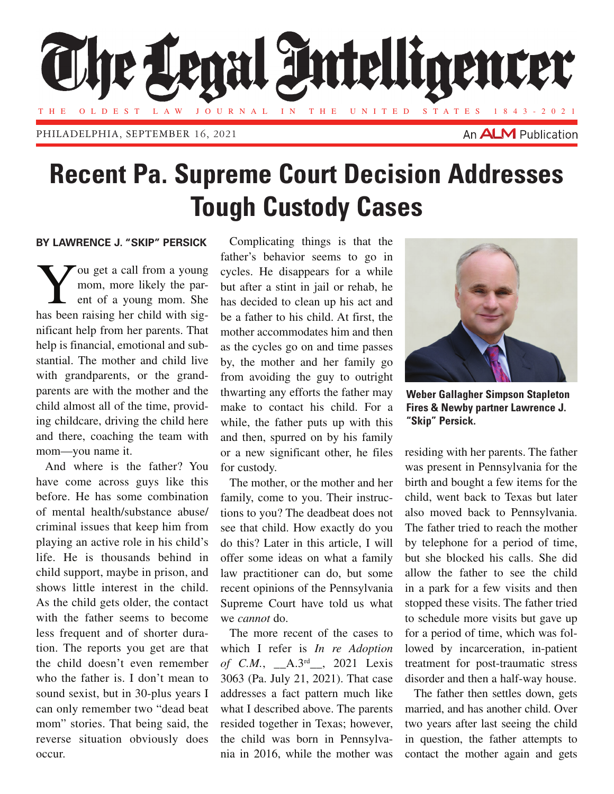

## **Recent Pa. Supreme Court Decision Addresses Tough Custody Cases**

## **BY LAWRENCE J. "SKIP" PERSICK**

You get a call from a young<br>mom, more likely the par-<br>ent of a young mom. She mom, more likely the parent of a young mom. She has been raising her child with significant help from her parents. That help is financial, emotional and substantial. The mother and child live with grandparents, or the grandparents are with the mother and the child almost all of the time, providing childcare, driving the child here and there, coaching the team with mom—you name it.

And where is the father? You have come across guys like this before. He has some combination of mental health/substance abuse/ criminal issues that keep him from playing an active role in his child's life. He is thousands behind in child support, maybe in prison, and shows little interest in the child. As the child gets older, the contact with the father seems to become less frequent and of shorter duration. The reports you get are that the child doesn't even remember who the father is. I don't mean to sound sexist, but in 30-plus years I can only remember two "dead beat mom" stories. That being said, the reverse situation obviously does occur.

Complicating things is that the father's behavior seems to go in cycles. He disappears for a while but after a stint in jail or rehab, he has decided to clean up his act and be a father to his child. At first, the mother accommodates him and then as the cycles go on and time passes by, the mother and her family go from avoiding the guy to outright thwarting any efforts the father may make to contact his child. For a while, the father puts up with this and then, spurred on by his family or a new significant other, he files for custody.

The mother, or the mother and her family, come to you. Their instructions to you? The deadbeat does not see that child. How exactly do you do this? Later in this article, I will offer some ideas on what a family law practitioner can do, but some recent opinions of the Pennsylvania Supreme Court have told us what we *cannot* do.

The more recent of the cases to which I refer is *In re Adoption of C.M.*, \_\_A.3rd\_\_, 2021 Lexis 3063 (Pa. July 21, 2021). That case addresses a fact pattern much like what I described above. The parents resided together in Texas; however, the child was born in Pennsylvania in 2016, while the mother was



**Weber Gallagher Simpson Stapleton Fires & Newby partner Lawrence J. "Skip" Persick.**

residing with her parents. The father was present in Pennsylvania for the birth and bought a few items for the child, went back to Texas but later also moved back to Pennsylvania. The father tried to reach the mother by telephone for a period of time, but she blocked his calls. She did allow the father to see the child in a park for a few visits and then stopped these visits. The father tried to schedule more visits but gave up for a period of time, which was followed by incarceration, in-patient treatment for post-traumatic stress disorder and then a half-way house.

The father then settles down, gets married, and has another child. Over two years after last seeing the child in question, the father attempts to contact the mother again and gets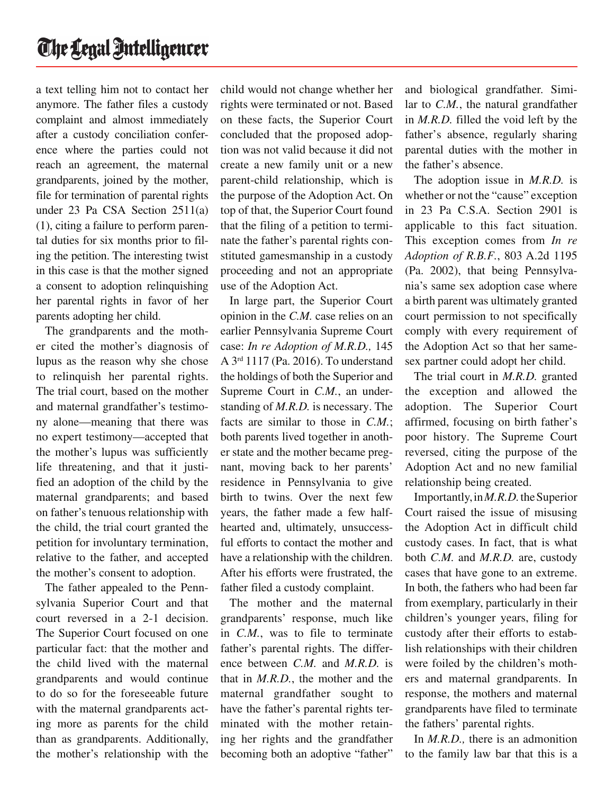a text telling him not to contact her anymore. The father files a custody complaint and almost immediately after a custody conciliation conference where the parties could not reach an agreement, the maternal grandparents, joined by the mother, file for termination of parental rights under 23 Pa CSA Section 2511(a) (1), citing a failure to perform parental duties for six months prior to filing the petition. The interesting twist in this case is that the mother signed a consent to adoption relinquishing her parental rights in favor of her parents adopting her child.

The grandparents and the mother cited the mother's diagnosis of lupus as the reason why she chose to relinquish her parental rights. The trial court, based on the mother and maternal grandfather's testimony alone—meaning that there was no expert testimony—accepted that the mother's lupus was sufficiently life threatening, and that it justified an adoption of the child by the maternal grandparents; and based on father's tenuous relationship with the child, the trial court granted the petition for involuntary termination, relative to the father, and accepted the mother's consent to adoption.

The father appealed to the Pennsylvania Superior Court and that court reversed in a 2-1 decision. The Superior Court focused on one particular fact: that the mother and the child lived with the maternal grandparents and would continue to do so for the foreseeable future with the maternal grandparents acting more as parents for the child than as grandparents. Additionally, the mother's relationship with the

child would not change whether her rights were terminated or not. Based on these facts, the Superior Court concluded that the proposed adoption was not valid because it did not create a new family unit or a new parent-child relationship, which is the purpose of the Adoption Act. On top of that, the Superior Court found that the filing of a petition to terminate the father's parental rights constituted gamesmanship in a custody proceeding and not an appropriate use of the Adoption Act.

In large part, the Superior Court opinion in the *C.M.* case relies on an earlier Pennsylvania Supreme Court case: *In re Adoption of M.R.D.,* 145 A 3rd 1117 (Pa. 2016). To understand the holdings of both the Superior and Supreme Court in *C.M.*, an understanding of *M.R.D.* is necessary. The facts are similar to those in *C.M.*; both parents lived together in another state and the mother became pregnant, moving back to her parents' residence in Pennsylvania to give birth to twins. Over the next few years, the father made a few halfhearted and, ultimately, unsuccessful efforts to contact the mother and have a relationship with the children. After his efforts were frustrated, the father filed a custody complaint.

The mother and the maternal grandparents' response, much like in *C.M.*, was to file to terminate father's parental rights. The difference between *C.M.* and *M.R.D.* is that in *M.R.D.*, the mother and the maternal grandfather sought to have the father's parental rights terminated with the mother retaining her rights and the grandfather becoming both an adoptive "father"

and biological grandfather. Similar to *C.M.*, the natural grandfather in *M.R.D.* filled the void left by the father's absence, regularly sharing parental duties with the mother in the father's absence.

The adoption issue in *M.R.D.* is whether or not the "cause" exception in 23 Pa C.S.A. Section 2901 is applicable to this fact situation. This exception comes from *In re Adoption of R.B.F.*, 803 A.2d 1195 (Pa. 2002), that being Pennsylvania's same sex adoption case where a birth parent was ultimately granted court permission to not specifically comply with every requirement of the Adoption Act so that her samesex partner could adopt her child.

The trial court in *M.R.D.* granted the exception and allowed the adoption. The Superior Court affirmed, focusing on birth father's poor history. The Supreme Court reversed, citing the purpose of the Adoption Act and no new familial relationship being created.

Importantly, in *M.R.D.* the Superior Court raised the issue of misusing the Adoption Act in difficult child custody cases. In fact, that is what both *C.M.* and *M.R.D.* are, custody cases that have gone to an extreme. In both, the fathers who had been far from exemplary, particularly in their children's younger years, filing for custody after their efforts to establish relationships with their children were foiled by the children's mothers and maternal grandparents. In response, the mothers and maternal grandparents have filed to terminate the fathers' parental rights.

In *M.R.D.,* there is an admonition to the family law bar that this is a